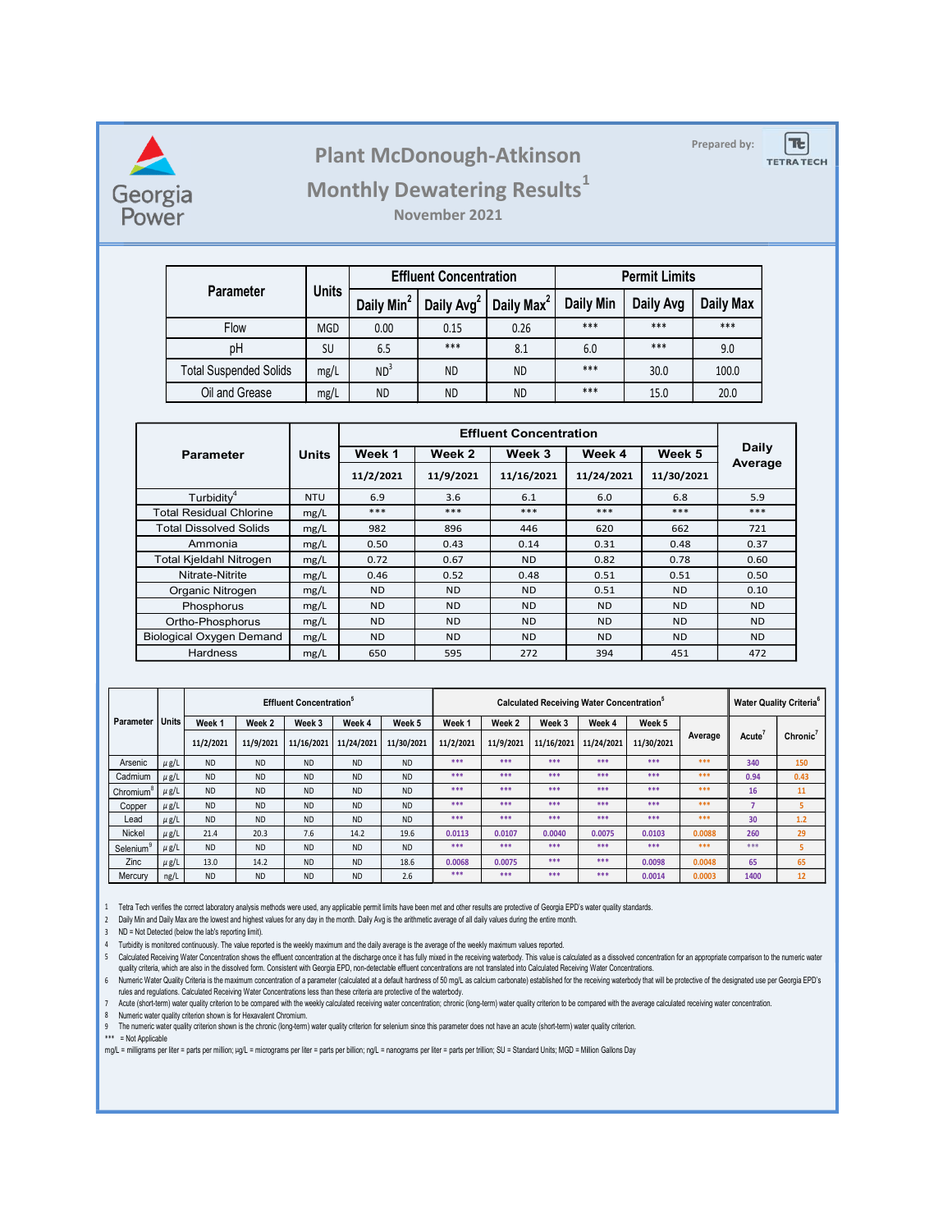

## Plant McDonough-Atkinson

## Monthly Dewatering Results<sup>1</sup>

|            |                                                  |              | <b>Plant McDonough-Atkinson</b>    |                               |                               |                      |                      |  | Prepared by: | $T_{c}$<br><b>TETRA TECH</b> |
|------------|--------------------------------------------------|--------------|------------------------------------|-------------------------------|-------------------------------|----------------------|----------------------|--|--------------|------------------------------|
|            |                                                  |              | <b>Monthly Dewatering Results1</b> |                               |                               |                      |                      |  |              |                              |
| gia<br>'er |                                                  |              |                                    | November 2021                 |                               |                      |                      |  |              |                              |
|            |                                                  |              |                                    |                               |                               |                      |                      |  |              |                              |
|            | Parameter                                        | <b>Units</b> |                                    | <b>Effluent Concentration</b> |                               |                      | <b>Permit Limits</b> |  |              |                              |
|            |                                                  |              | Daily Min <sup>2</sup>             | Daily Avg <sup>2</sup>        | Daily Max <sup>2</sup>        | Daily Min            | Daily Avg            |  | Daily Max    |                              |
|            | Flow                                             | MGD          | 0.00                               | 0.15                          | 0.26                          | $***$                | $***$                |  | $***$        |                              |
|            | pH                                               | SU           | 6.5                                | $***$                         | 8.1                           | 6.0                  | $***$                |  | 9.0          |                              |
|            | <b>Total Suspended Solids</b>                    | mg/L         | ND <sup>3</sup>                    | <b>ND</b>                     | <b>ND</b>                     | ***                  | 30.0                 |  | 100.0        |                              |
|            | Oil and Grease                                   | mg/L         | <b>ND</b>                          | <b>ND</b>                     | <b>ND</b>                     | ***                  | 15.0                 |  | 20.0         |                              |
|            |                                                  |              |                                    |                               |                               |                      |                      |  |              |                              |
|            |                                                  |              |                                    |                               | <b>Effluent Concentration</b> |                      |                      |  |              | <b>Daily</b>                 |
|            | <b>Parameter</b>                                 | <b>Units</b> | Week 1<br>11/2/2021                | Week 2<br>11/9/2021           | Week 3<br>11/16/2021          | Week 4<br>11/24/2021 | Week 5<br>11/30/2021 |  | Average      |                              |
|            |                                                  | <b>NTU</b>   |                                    |                               |                               |                      |                      |  |              |                              |
|            | Turbidity <sup>4</sup><br>otal Residual Chlorine | mg/L         | 6.9<br>$***$                       | 3.6<br>$***$                  | 6.1<br>$***$                  | 6.0<br>$***$         | 6.8<br>$***$         |  | 5.9<br>$***$ |                              |
|            |                                                  |              |                                    |                               |                               | 620                  | 662                  |  | 721          |                              |
|            | otal Dissolved Solids                            | mg/L         | 982                                | 896                           | 446                           |                      |                      |  |              |                              |
|            | Ammonia                                          | mg/L         | 0.50                               | 0.43                          | 0.14                          | 0.31                 | 0.48                 |  | 0.37         |                              |

|                   |                                 |                                                                   |                                                                                                                                                                                                                                                                                                                                                                           |                                                                                                                         |                                                                                                                                           | <b>Plant McDonough-Atkinson</b>                                                                                                                                                                                                                          |                                                                                                |                                                                                                                     |                                                                                                                                                                                                |                                                                                                                                                                                                            |                                                                                                                | Prepared by:                                                                                                                                                                            | $ \mathbf{E} $<br><b>TETRA TECH</b>                                                                                             |
|-------------------|---------------------------------|-------------------------------------------------------------------|---------------------------------------------------------------------------------------------------------------------------------------------------------------------------------------------------------------------------------------------------------------------------------------------------------------------------------------------------------------------------|-------------------------------------------------------------------------------------------------------------------------|-------------------------------------------------------------------------------------------------------------------------------------------|----------------------------------------------------------------------------------------------------------------------------------------------------------------------------------------------------------------------------------------------------------|------------------------------------------------------------------------------------------------|---------------------------------------------------------------------------------------------------------------------|------------------------------------------------------------------------------------------------------------------------------------------------------------------------------------------------|------------------------------------------------------------------------------------------------------------------------------------------------------------------------------------------------------------|----------------------------------------------------------------------------------------------------------------|-----------------------------------------------------------------------------------------------------------------------------------------------------------------------------------------|---------------------------------------------------------------------------------------------------------------------------------|
|                   |                                 |                                                                   |                                                                                                                                                                                                                                                                                                                                                                           |                                                                                                                         |                                                                                                                                           |                                                                                                                                                                                                                                                          |                                                                                                |                                                                                                                     |                                                                                                                                                                                                |                                                                                                                                                                                                            |                                                                                                                |                                                                                                                                                                                         |                                                                                                                                 |
|                   |                                 |                                                                   |                                                                                                                                                                                                                                                                                                                                                                           |                                                                                                                         |                                                                                                                                           |                                                                                                                                                                                                                                                          |                                                                                                |                                                                                                                     |                                                                                                                                                                                                |                                                                                                                                                                                                            |                                                                                                                |                                                                                                                                                                                         |                                                                                                                                 |
|                   |                                 |                                                                   |                                                                                                                                                                                                                                                                                                                                                                           |                                                                                                                         |                                                                                                                                           |                                                                                                                                                                                                                                                          |                                                                                                |                                                                                                                     |                                                                                                                                                                                                |                                                                                                                                                                                                            |                                                                                                                |                                                                                                                                                                                         |                                                                                                                                 |
|                   |                                 |                                                                   |                                                                                                                                                                                                                                                                                                                                                                           |                                                                                                                         |                                                                                                                                           | 0.15                                                                                                                                                                                                                                                     |                                                                                                |                                                                                                                     | $***$                                                                                                                                                                                          | $***$                                                                                                                                                                                                      |                                                                                                                |                                                                                                                                                                                         |                                                                                                                                 |
|                   |                                 |                                                                   |                                                                                                                                                                                                                                                                                                                                                                           |                                                                                                                         |                                                                                                                                           | ***                                                                                                                                                                                                                                                      |                                                                                                |                                                                                                                     | 6.0                                                                                                                                                                                            | $***$                                                                                                                                                                                                      |                                                                                                                |                                                                                                                                                                                         |                                                                                                                                 |
|                   |                                 |                                                                   |                                                                                                                                                                                                                                                                                                                                                                           |                                                                                                                         |                                                                                                                                           | <b>ND</b>                                                                                                                                                                                                                                                | <b>ND</b>                                                                                      |                                                                                                                     | ***                                                                                                                                                                                            | 30.0                                                                                                                                                                                                       |                                                                                                                |                                                                                                                                                                                         |                                                                                                                                 |
|                   |                                 |                                                                   |                                                                                                                                                                                                                                                                                                                                                                           |                                                                                                                         |                                                                                                                                           | ND.                                                                                                                                                                                                                                                      | <b>ND</b>                                                                                      |                                                                                                                     | $***$                                                                                                                                                                                          | 15.0                                                                                                                                                                                                       |                                                                                                                |                                                                                                                                                                                         |                                                                                                                                 |
|                   |                                 |                                                                   |                                                                                                                                                                                                                                                                                                                                                                           |                                                                                                                         |                                                                                                                                           |                                                                                                                                                                                                                                                          |                                                                                                |                                                                                                                     |                                                                                                                                                                                                |                                                                                                                                                                                                            |                                                                                                                |                                                                                                                                                                                         |                                                                                                                                 |
|                   |                                 |                                                                   |                                                                                                                                                                                                                                                                                                                                                                           |                                                                                                                         |                                                                                                                                           |                                                                                                                                                                                                                                                          |                                                                                                |                                                                                                                     |                                                                                                                                                                                                |                                                                                                                                                                                                            |                                                                                                                |                                                                                                                                                                                         |                                                                                                                                 |
|                   |                                 |                                                                   |                                                                                                                                                                                                                                                                                                                                                                           |                                                                                                                         |                                                                                                                                           |                                                                                                                                                                                                                                                          |                                                                                                |                                                                                                                     |                                                                                                                                                                                                |                                                                                                                                                                                                            |                                                                                                                |                                                                                                                                                                                         |                                                                                                                                 |
|                   |                                 |                                                                   | <b>NTU</b>                                                                                                                                                                                                                                                                                                                                                                |                                                                                                                         |                                                                                                                                           | 3.6                                                                                                                                                                                                                                                      |                                                                                                |                                                                                                                     | 6.0                                                                                                                                                                                            |                                                                                                                                                                                                            |                                                                                                                | 5.9                                                                                                                                                                                     |                                                                                                                                 |
|                   |                                 |                                                                   | mg/L                                                                                                                                                                                                                                                                                                                                                                      |                                                                                                                         |                                                                                                                                           | $***$                                                                                                                                                                                                                                                    |                                                                                                |                                                                                                                     | $***$                                                                                                                                                                                          |                                                                                                                                                                                                            |                                                                                                                | $***$                                                                                                                                                                                   |                                                                                                                                 |
|                   |                                 |                                                                   | mg/L                                                                                                                                                                                                                                                                                                                                                                      |                                                                                                                         |                                                                                                                                           | 896                                                                                                                                                                                                                                                      |                                                                                                |                                                                                                                     | 620                                                                                                                                                                                            |                                                                                                                                                                                                            |                                                                                                                | 721                                                                                                                                                                                     |                                                                                                                                 |
|                   |                                 |                                                                   |                                                                                                                                                                                                                                                                                                                                                                           |                                                                                                                         |                                                                                                                                           |                                                                                                                                                                                                                                                          |                                                                                                |                                                                                                                     |                                                                                                                                                                                                |                                                                                                                                                                                                            |                                                                                                                |                                                                                                                                                                                         |                                                                                                                                 |
|                   |                                 |                                                                   | mg/L                                                                                                                                                                                                                                                                                                                                                                      |                                                                                                                         |                                                                                                                                           | 0.52                                                                                                                                                                                                                                                     |                                                                                                |                                                                                                                     | 0.51                                                                                                                                                                                           |                                                                                                                                                                                                            |                                                                                                                | 0.50                                                                                                                                                                                    |                                                                                                                                 |
|                   |                                 |                                                                   | mg/L                                                                                                                                                                                                                                                                                                                                                                      |                                                                                                                         |                                                                                                                                           | <b>ND</b>                                                                                                                                                                                                                                                |                                                                                                |                                                                                                                     | 0.51                                                                                                                                                                                           |                                                                                                                                                                                                            |                                                                                                                | 0.10                                                                                                                                                                                    |                                                                                                                                 |
|                   |                                 |                                                                   | mg/L                                                                                                                                                                                                                                                                                                                                                                      |                                                                                                                         |                                                                                                                                           | <b>ND</b>                                                                                                                                                                                                                                                |                                                                                                |                                                                                                                     | <b>ND</b>                                                                                                                                                                                      |                                                                                                                                                                                                            |                                                                                                                | <b>ND</b>                                                                                                                                                                               |                                                                                                                                 |
|                   |                                 |                                                                   | mg/L                                                                                                                                                                                                                                                                                                                                                                      |                                                                                                                         |                                                                                                                                           | <b>ND</b>                                                                                                                                                                                                                                                |                                                                                                |                                                                                                                     | <b>ND</b>                                                                                                                                                                                      |                                                                                                                                                                                                            |                                                                                                                | <b>ND</b>                                                                                                                                                                               |                                                                                                                                 |
|                   |                                 |                                                                   | mg/L                                                                                                                                                                                                                                                                                                                                                                      |                                                                                                                         |                                                                                                                                           | 595                                                                                                                                                                                                                                                      |                                                                                                |                                                                                                                     | 394                                                                                                                                                                                            |                                                                                                                                                                                                            |                                                                                                                | 472                                                                                                                                                                                     |                                                                                                                                 |
|                   |                                 |                                                                   |                                                                                                                                                                                                                                                                                                                                                                           |                                                                                                                         |                                                                                                                                           |                                                                                                                                                                                                                                                          |                                                                                                |                                                                                                                     |                                                                                                                                                                                                |                                                                                                                                                                                                            |                                                                                                                |                                                                                                                                                                                         |                                                                                                                                 |
|                   |                                 |                                                                   |                                                                                                                                                                                                                                                                                                                                                                           |                                                                                                                         |                                                                                                                                           |                                                                                                                                                                                                                                                          |                                                                                                |                                                                                                                     |                                                                                                                                                                                                |                                                                                                                                                                                                            |                                                                                                                |                                                                                                                                                                                         | <b>Water Quality Criteria</b> <sup>6</sup>                                                                                      |
|                   |                                 |                                                                   |                                                                                                                                                                                                                                                                                                                                                                           |                                                                                                                         |                                                                                                                                           |                                                                                                                                                                                                                                                          |                                                                                                |                                                                                                                     |                                                                                                                                                                                                |                                                                                                                                                                                                            |                                                                                                                | Acute <sup>7</sup>                                                                                                                                                                      | Chronic <sup>7</sup>                                                                                                            |
|                   |                                 |                                                                   |                                                                                                                                                                                                                                                                                                                                                                           |                                                                                                                         |                                                                                                                                           | $***$                                                                                                                                                                                                                                                    | $***$                                                                                          | $***$                                                                                                               | ***                                                                                                                                                                                            | $***$                                                                                                                                                                                                      | $***$                                                                                                          |                                                                                                                                                                                         | 150                                                                                                                             |
| $\mu$ g/L         | ND                              | ND                                                                | <b>ND</b>                                                                                                                                                                                                                                                                                                                                                                 | ND                                                                                                                      | ND                                                                                                                                        | $***$                                                                                                                                                                                                                                                    | $***$                                                                                          | $***$                                                                                                               | $***$                                                                                                                                                                                          | $***$                                                                                                                                                                                                      | $***$                                                                                                          | 0.94                                                                                                                                                                                    | 0.43                                                                                                                            |
| $\mu$ g/L         | <b>ND</b>                       | <b>ND</b>                                                         | <b>ND</b>                                                                                                                                                                                                                                                                                                                                                                 | <b>ND</b>                                                                                                               | <b>ND</b>                                                                                                                                 | $***$                                                                                                                                                                                                                                                    | $***$                                                                                          | $***$                                                                                                               | $***$                                                                                                                                                                                          | $***$                                                                                                                                                                                                      | $***$                                                                                                          | 16                                                                                                                                                                                      | 11                                                                                                                              |
| $\mu$ g/L         | ND                              | <b>ND</b>                                                         | ND                                                                                                                                                                                                                                                                                                                                                                        | <b>ND</b>                                                                                                               | ND                                                                                                                                        | $***$                                                                                                                                                                                                                                                    | $***$                                                                                          | $***$                                                                                                               | $***$                                                                                                                                                                                          | $***$                                                                                                                                                                                                      | ***                                                                                                            | $\overline{7}$                                                                                                                                                                          | 5<br>$1.2$                                                                                                                      |
| $\mu$ g/L         | 21.4                            | 20.3                                                              | 7.6                                                                                                                                                                                                                                                                                                                                                                       | 14.2                                                                                                                    | 19.6                                                                                                                                      | 0.0113                                                                                                                                                                                                                                                   | 0.0107                                                                                         |                                                                                                                     | 0.0075                                                                                                                                                                                         | 0.0103                                                                                                                                                                                                     | 0.0088                                                                                                         | 260                                                                                                                                                                                     | 29                                                                                                                              |
| $\mu$ g/L         | <b>ND</b>                       | <b>ND</b>                                                         | <b>ND</b>                                                                                                                                                                                                                                                                                                                                                                 | <b>ND</b>                                                                                                               | <b>ND</b>                                                                                                                                 | ***                                                                                                                                                                                                                                                      | ***                                                                                            | $***$                                                                                                               | ***                                                                                                                                                                                            | $***$                                                                                                                                                                                                      | ***                                                                                                            | $***$                                                                                                                                                                                   | -5                                                                                                                              |
| $\mu$ g/L<br>ng/L | 13.0<br><b>ND</b>               | 14.2<br><b>ND</b>                                                 | $\sf ND$<br><b>ND</b>                                                                                                                                                                                                                                                                                                                                                     | <b>ND</b><br><b>ND</b>                                                                                                  | 18.6<br>2.6                                                                                                                               | 0.0068<br>***                                                                                                                                                                                                                                            | 0.0075<br>$* * *$                                                                              | $***$                                                                                                               | ***                                                                                                                                                                                            | 0.0098<br>0.0014                                                                                                                                                                                           | 0.0048<br>0.0003                                                                                               | 65<br>1400                                                                                                                                                                              | 65<br>12                                                                                                                        |
|                   | Units<br>$\mu$ g/L<br>$\mu$ g/L | Georgia<br>Power<br>Week 1<br>11/2/2021<br><b>ND</b><br><b>ND</b> | <b>Parameter</b><br>Flow<br>pH<br>Oil and Grease<br>Parameter<br>Turbidity <sup>4</sup><br><b>Total Residual Chlorine</b><br><b>Total Dissolved Solids</b><br>Ammonia<br>Total Kjeldahl Nitrogen<br>Nitrate-Nitrite<br>Organic Nitrogen<br>Phosphorus<br>Ortho-Phosphorus<br><b>Biological Oxygen Demand</b><br>Hardness<br>Week 2<br>11/9/2021<br><b>ND</b><br><b>ND</b> | <b>Total Suspended Solids</b><br><b>Units</b><br>mg/L<br>mg/L<br>mg/L<br>Week 3<br>11/16/2021<br><b>ND</b><br><b>ND</b> | <b>Units</b><br><b>MGD</b><br><b>SU</b><br>mg/L<br>mg/L<br><b>Effluent Concentration</b> <sup>5</sup><br>Week 4<br><b>ND</b><br><b>ND</b> | Daily Min <sup>2</sup><br>0.00<br>6.5<br>ND <sup>3</sup><br><b>ND</b><br>Week 1<br>11/2/2021<br>6.9<br>$***$<br>982<br>0.50<br>0.72<br>0.46<br><b>ND</b><br><b>ND</b><br><b>ND</b><br><b>ND</b><br>650<br>Week 5<br>11/24/2021<br><b>ND</b><br><b>ND</b> | Week 2<br>11/9/2021<br>0.43<br>0.67<br><b>ND</b><br>Week 1<br>11/30/2021<br>11/2/2021<br>$***$ | November 2021<br><b>Effluent Concentration</b><br>Daily Avg <sup>2</sup><br>Week <sub>2</sub><br>11/9/2021<br>$***$ | Daily Max <sup>2</sup><br>0.26<br>8.1<br>Week 3<br>11/16/2021<br>6.1<br>$***$<br>446<br>0.14<br><b>ND</b><br>0.48<br><b>ND</b><br><b>ND</b><br><b>ND</b><br><b>ND</b><br>272<br>$***$<br>$***$ | <b>Monthly Dewatering Results</b> <sup>1</sup><br><b>Daily Min</b><br><b>Effluent Concentration</b><br>0.31<br>0.82<br><b>ND</b><br>Week 3<br>Week 4<br>11/16/2021<br>11/24/2021<br>***<br>0.0040<br>$***$ | Week 4<br>11/24/2021<br>Calculated Receiving Water Concentration <sup>®</sup><br>Week 5<br>11/30/2021<br>$***$ | <b>Permit Limits</b><br>Daily Avg<br>Week <sub>5</sub><br>11/30/2021<br>6.8<br>$***$<br>662<br>0.48<br>0.78<br>0.51<br><b>ND</b><br><b>ND</b><br><b>ND</b><br><b>ND</b><br>451<br>$***$ | <b>Daily Max</b><br>***<br>9.0<br>100.0<br>20.0<br><b>Daily</b><br>Average<br>0.37<br>0.60<br><b>ND</b><br>Average<br>340<br>30 |

|                       | <b>Units</b> |           |           | Calculated Receiving Water Concentration <sup>®</sup> |            |            |                   |           |            |            | <b>Water Quality Criteria</b> <sup>6</sup> |         |                    |          |
|-----------------------|--------------|-----------|-----------|-------------------------------------------------------|------------|------------|-------------------|-----------|------------|------------|--------------------------------------------|---------|--------------------|----------|
| Parameter             |              | Week 1    | Week 2    | Week 3                                                | Week 4     | Week 5     | Week <sub>1</sub> | Week 2    | Week 3     | Week 4     | Week 5                                     |         |                    |          |
|                       |              | 11/2/2021 | 11/9/2021 | 11/16/2021                                            | 11/24/2021 | 11/30/2021 | 11/2/2021         | 11/9/2021 | 11/16/2021 | 11/24/2021 | 11/30/2021                                 | Average | Acute <sup>'</sup> | Chronic' |
| Arsenic               | $\mu$ g/L    | <b>ND</b> | <b>ND</b> | <b>ND</b>                                             | <b>ND</b>  | <b>ND</b>  | ***               | ***       | ***        | ***        | ***                                        | ***     | 340                | 150      |
| Cadmium               | $\mu$ g/L    | <b>ND</b> | <b>ND</b> | <b>ND</b>                                             | <b>ND</b>  | <b>ND</b>  | ***               | ***       | ***        | ***        | ***                                        | ***     | 0.94               | 0.43     |
| Chromium <sup>®</sup> | $\mu$ g/L    | <b>ND</b> | <b>ND</b> | <b>ND</b>                                             | <b>ND</b>  | <b>ND</b>  | ***               | ***       | ***        | ***        | ***                                        | ***     | 16                 | 11       |
| Copper                | $\mu$ g/L    | <b>ND</b> | <b>ND</b> | <b>ND</b>                                             | <b>ND</b>  | <b>ND</b>  | ***               | ***       | ***        | ***        | ***                                        | ***     |                    | 5.       |
| Lead                  | $\mu$ g/L    | <b>ND</b> | <b>ND</b> | <b>ND</b>                                             | <b>ND</b>  | <b>ND</b>  | ***               | ***       | ***        | ***        | ***                                        | ***     | 30                 | 1.2      |
| Nickel                | $\mu$ g/L    | 21.4      | 20.3      | 7.6                                                   | 14.2       | 19.6       | 0.0113            | 0.0107    | 0.0040     | 0.0075     | 0.0103                                     | 0.0088  | 260                | 29       |
| Selenium <sup>5</sup> | $\mu$ g/L    | <b>ND</b> | <b>ND</b> | <b>ND</b>                                             | <b>ND</b>  | <b>ND</b>  | ***               | ***       | ***        | ***        | ***                                        | ***     | ***                |          |
| Zinc                  | $\mu$ g/L    | 13.0      | 14.2      | <b>ND</b>                                             | <b>ND</b>  | 18.6       | 0.0068            | 0.0075    | ***        | ***        | 0.0098                                     | 0.0048  | 65                 | 65       |
| Mercury               | ng/L         | <b>ND</b> | <b>ND</b> | <b>ND</b>                                             | <b>ND</b>  | 2.6        | ***               | ***       | ***        | ***        | 0.0014                                     | 0.0003  | 1400               | 12       |

6 Numenc Water Quality Criteria is the maximum concentration of a parameter (calculated at a default hardness of 50 mg/L as calcium carbonate) established for the receiving waterbody that will be protective of the designat rules and regulations. Calculated Receiving Water Concentrations less than these criteria are protective of the waterbody.

7 Acute (short-term) water quality criterion to be compared with the weekly calculated receiving water concentration; chronic (long-term) water quality criterion to be compared with the average calculated receiving water c

8 Numeric water quality criterion shown is for Hexavalent Chromium.

9 The numeric water quality criterion shown is the chronic (long-term) water quality criterion for selenium since this parameter does not have an acute (short-term) water quality criterion.

\*\*\* = Not Applicable

\*\* = Not Applicable<br>mg/L = milligrams per liter = parts per million; µg/L = micrograms per liter = parts per billion; ng/L = nanograms per liter = parts per trillion; SU = Standard Units; MGD = Million Gallons Day